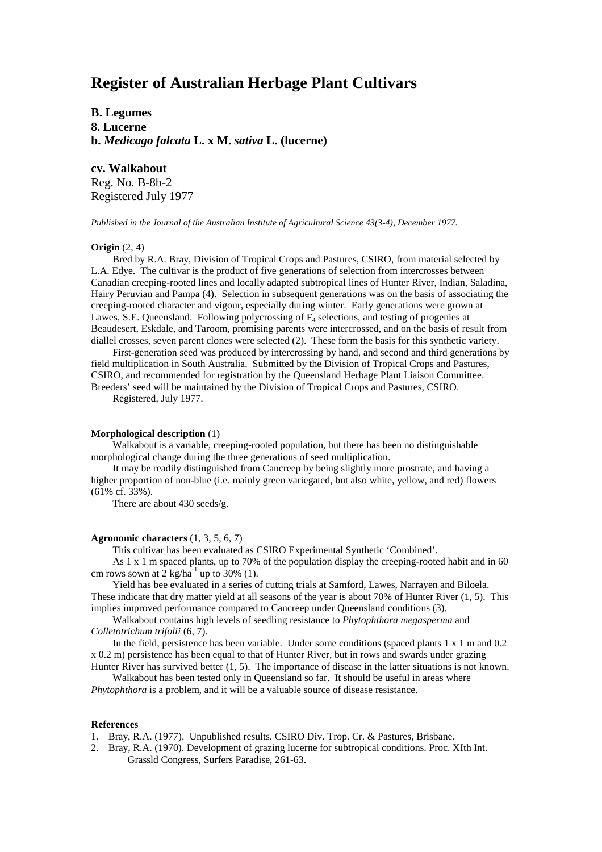# **Register of Australian Herbage Plant Cultivars**

**B. Legumes 8. Lucerne b.** *Medicago falcata* **L. x M.** *sativa* **L. (lucerne)**

# **cv. Walkabout**

Reg. No. B-8b-2 Registered July 1977

*Published in the Journal of the Australian Institute of Agricultural Science 43(3-4), December 1977.*

#### **Origin** (2, 4)

Bred by R.A. Bray, Division of Tropical Crops and Pastures, CSIRO, from material selected by L.A. Edye. The cultivar is the product of five generations of selection from intercrosses between Canadian creeping-rooted lines and locally adapted subtropical lines of Hunter River, Indian, Saladina, Hairy Peruvian and Pampa (4). Selection in subsequent generations was on the basis of associating the creeping-rooted character and vigour, especially during winter. Early generations were grown at Lawes, S.E. Queensland. Following polycrossing of  $F_4$  selections, and testing of progenies at Beaudesert, Eskdale, and Taroom, promising parents were intercrossed, and on the basis of result from diallel crosses, seven parent clones were selected (2). These form the basis for this synthetic variety.

First-generation seed was produced by intercrossing by hand, and second and third generations by field multiplication in South Australia. Submitted by the Division of Tropical Crops and Pastures, CSIRO, and recommended for registration by the Queensland Herbage Plant Liaison Committee. Breeders' seed will be maintained by the Division of Tropical Crops and Pastures, CSIRO.

Registered, July 1977.

#### **Morphological description** (1)

Walkabout is a variable, creeping-rooted population, but there has been no distinguishable morphological change during the three generations of seed multiplication.

It may be readily distinguished from Cancreep by being slightly more prostrate, and having a higher proportion of non-blue (i.e. mainly green variegated, but also white, yellow, and red) flowers (61% cf. 33%).

There are about 430 seeds/g.

## **Agronomic characters** (1, 3, 5, 6, 7)

This cultivar has been evaluated as CSIRO Experimental Synthetic 'Combined'.

As 1 x 1 m spaced plants, up to 70% of the population display the creeping-rooted habit and in 60 cm rows sown at  $2 \text{ kg/ha}^{-1}$  up to 30% (1).

Yield has bee evaluated in a series of cutting trials at Samford, Lawes, Narrayen and Biloela. These indicate that dry matter yield at all seasons of the year is about 70% of Hunter River (1, 5). This implies improved performance compared to Cancreep under Queensland conditions (3).

Walkabout contains high levels of seedling resistance to *Phytophthora megasperma* and *Colletotrichum trifolii* (6, 7).

In the field, persistence has been variable. Under some conditions (spaced plants 1 x 1 m and 0.2 x 0.2 m) persistence has been equal to that of Hunter River, but in rows and swards under grazing

Hunter River has survived better (1, 5). The importance of disease in the latter situations is not known. Walkabout has been tested only in Queensland so far. It should be useful in areas where *Phytophthora* is a problem, and it will be a valuable source of disease resistance.

## **References**

- 1. Bray, R.A. (1977). Unpublished results. CSIRO Div. Trop. Cr. & Pastures, Brisbane.
- 2. Bray, R.A. (1970). Development of grazing lucerne for subtropical conditions. Proc. XIth Int. Grassld Congress, Surfers Paradise, 261-63.